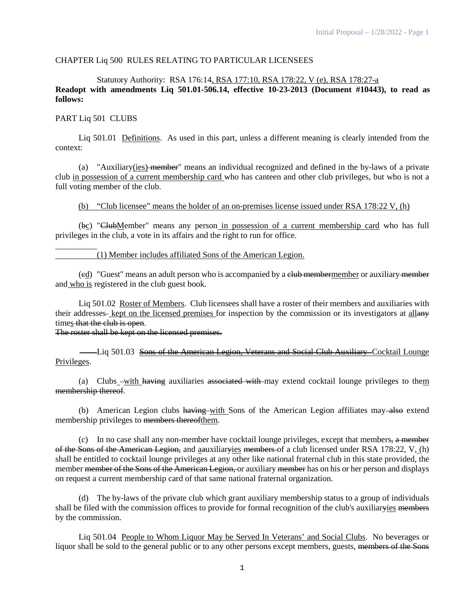#### CHAPTER Liq 500 RULES RELATING TO PARTICULAR LICENSEES

## Statutory Authority: RSA 176:14, RSA 177:10, RSA 178:22, V (e), RSA 178:27-a **Readopt with amendments Liq 501.01-506.14, effective 10-23-2013 (Document #10443), to read as follows:**

#### PART Liq 501 CLUBS

Liq 501.01 Definitions. As used in this part, unless a different meaning is clearly intended from the context:

(a) "Auxiliary(ies) member" means an individual recognized and defined in the by-laws of a private club in possession of a current membership card who has canteen and other club privileges, but who is not a full voting member of the club.

#### (b) "Club licensee" means the holder of an on-premises license issued under RSA 178:22 V, (h)

(bc) "ClubMember" means any person in possession of a current membership card who has full privileges in the club, a vote in its affairs and the right to run for office.

## (1) Member includes affiliated Sons of the American Legion.

(ed) "Guest" means an adult person who is accompanied by a club membermember or auxiliary member and who is registered in the club guest book.

Liq 501.02 Roster of Members. Club licensees shall have a roster of their members and auxiliaries with their addresses-kept on the licensed premises for inspection by the commission or its investigators at allany times that the club is open.

The roster shall be kept on the licensed premises.

Liq 501.03 Sons of the American Legion, Veterans and Social Club Auxiliary Cocktail Lounge Privileges.

(a) Clubs -with having auxiliaries associated with may extend cocktail lounge privileges to them membership thereof.

(b) American Legion clubs having with Sons of the American Legion affiliates may also extend membership privileges to members thereofthem.

(c) In no case shall any non-member have cocktail lounge privileges, except that members, a member of the Sons of the American Legion, and aauxiliaryies members of a club licensed under RSA 178:22, V, (h) shall be entitled to cocktail lounge privileges at any other like national fraternal club in this state provided, the member member of the Sons of the American Legion, or auxiliary member has on his or her person and displays on request a current membership card of that same national fraternal organization.

(d) The by-laws of the private club which grant auxiliary membership status to a group of individuals shall be filed with the commission offices to provide for formal recognition of the club's auxiliaryies members by the commission.

Liq 501.04 People to Whom Liquor May be Served In Veterans' and Social Clubs. No beverages or liquor shall be sold to the general public or to any other persons except members, guests, members of the Sons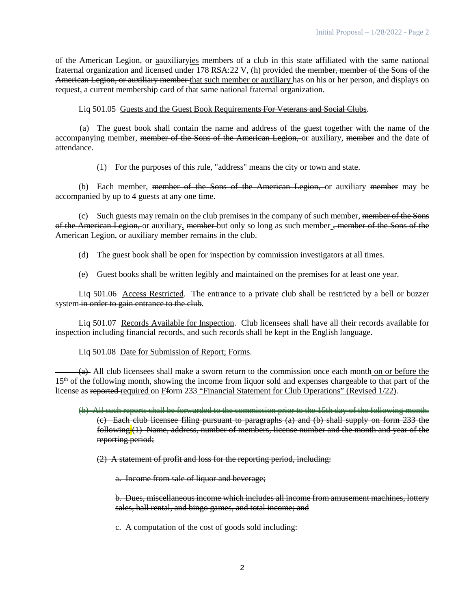of the American Legion, or aauxiliaryies members of a club in this state affiliated with the same national fraternal organization and licensed under 178 RSA:22 V, (h) provided the member, member of the Sons of the American Legion, or auxiliary member that such member or auxiliary has on his or her person, and displays on request, a current membership card of that same national fraternal organization.

Liq 501.05 Guests and the Guest Book Requirements For Veterans and Social Clubs.

(a) The guest book shall contain the name and address of the guest together with the name of the accompanying member, member of the Sons of the American Legion, or auxiliary, member and the date of attendance.

(1) For the purposes of this rule, "address" means the city or town and state.

(b) Each member, member of the Sons of the American Legion, or auxiliary member may be accompanied by up to 4 guests at any one time.

(c) Such guests may remain on the club premises in the company of such member, member of the Sons of the American Legion, or auxiliary, member-but only so long as such member, member of the Sons of the American Legion, or auxiliary member remains in the club.

- (d) The guest book shall be open for inspection by commission investigators at all times.
- (e) Guest books shall be written legibly and maintained on the premises for at least one year.

Liq 501.06 Access Restricted. The entrance to a private club shall be restricted by a bell or buzzer system in order to gain entrance to the club.

Liq 501.07 Records Available for Inspection. Club licensees shall have all their records available for inspection including financial records, and such records shall be kept in the English language.

Liq 501.08 Date for Submission of Report; Forms.

(a) All club licensees shall make a sworn return to the commission once each month on or before the 15th of the following month, showing the income from liquor sold and expenses chargeable to that part of the license as reported required on Fform 233 "Financial Statement for Club Operations" (Revised 1/22).

- (b) All such reports shall be forwarded to the commission prior to the 15th day of the following month. (c) Each club licensee filing pursuant to paragraphs (a) and (b) shall supply on form 233 the following:(1) Name, address, number of members, license number and the month and year of the reporting period;
	- (2) A statement of profit and loss for the reporting period, including:

a. Income from sale of liquor and beverage;

b. Dues, miscellaneous income which includes all income from amusement machines, lottery sales, hall rental, and bingo games, and total income; and

c. A computation of the cost of goods sold including: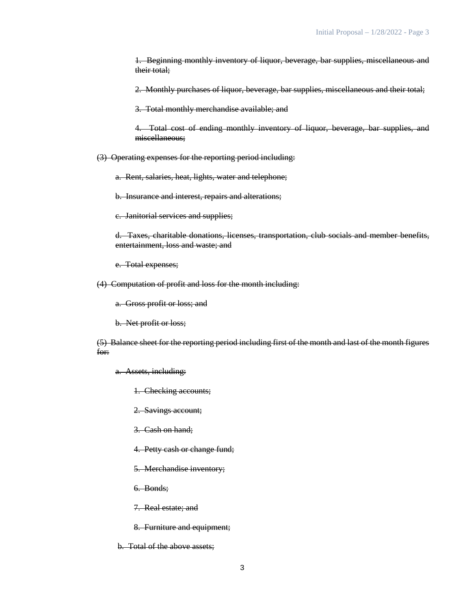1. Beginning monthly inventory of liquor, beverage, bar supplies, miscellaneous and their total;

2. Monthly purchases of liquor, beverage, bar supplies, miscellaneous and their total;

3. Total monthly merchandise available; and

4. Total cost of ending monthly inventory of liquor, beverage, bar supplies, and miscellaneous;

(3) Operating expenses for the reporting period including:

a. Rent, salaries, heat, lights, water and telephone;

b. Insurance and interest, repairs and alterations;

c. Janitorial services and supplies;

d. Taxes, charitable donations, licenses, transportation, club socials and member benefits, entertainment, loss and waste; and

e. Total expenses;

(4) Computation of profit and loss for the month including:

a. Gross profit or loss; and

b. Net profit or loss;

(5) Balance sheet for the reporting period including first of the month and last of the month figures for:

a. Assets, including:

1. Checking accounts;

2. Savings account;

3. Cash on hand;

4. Petty cash or change fund;

5. Merchandise inventory;

6. Bonds;

7. Real estate; and

8. Furniture and equipment;

b. Total of the above assets;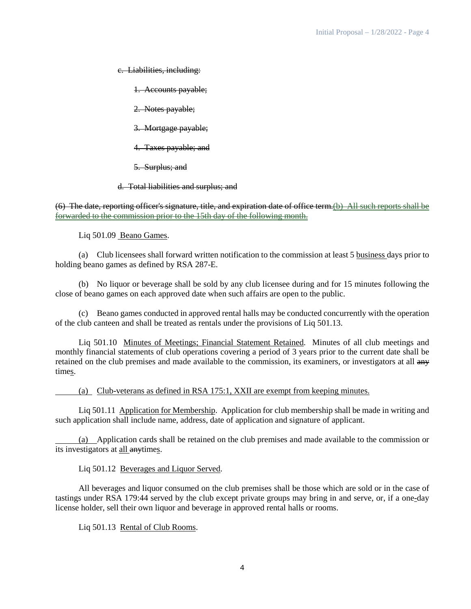c. Liabilities, including:

1. Accounts payable;

2. Notes payable;

3. Mortgage payable;

4. Taxes payable; and

5. Surplus; and

d. Total liabilities and surplus; and

(6) The date, reporting officer's signature, title, and expiration date of office term.(b) All such reports shall be forwarded to the commission prior to the 15th day of the following month.

Liq 501.09 Beano Games.

(a) Club licensees shall forward written notification to the commission at least 5 business days prior to holding beano games as defined by RSA 287-E.

(b) No liquor or beverage shall be sold by any club licensee during and for 15 minutes following the close of beano games on each approved date when such affairs are open to the public.

(c) Beano games conducted in approved rental halls may be conducted concurrently with the operation of the club canteen and shall be treated as rentals under the provisions of Liq 501.13.

Liq 501.10 Minutes of Meetings; Financial Statement Retained. Minutes of all club meetings and monthly financial statements of club operations covering a period of 3 years prior to the current date shall be retained on the club premises and made available to the commission, its examiners, or investigators at all any times.

(a) Club-veterans as defined in RSA 175:1, XXII are exempt from keeping minutes.

Liq 501.11 Application for Membership. Application for club membership shall be made in writing and such application shall include name, address, date of application and signature of applicant.

(a) Application cards shall be retained on the club premises and made available to the commission or its investigators at all anytimes.

Liq 501.12 Beverages and Liquor Served.

All beverages and liquor consumed on the club premises shall be those which are sold or in the case of tastings under RSA 179:44 served by the club except private groups may bring in and serve, or, if a one-day license holder, sell their own liquor and beverage in approved rental halls or rooms.

Liq 501.13 Rental of Club Rooms.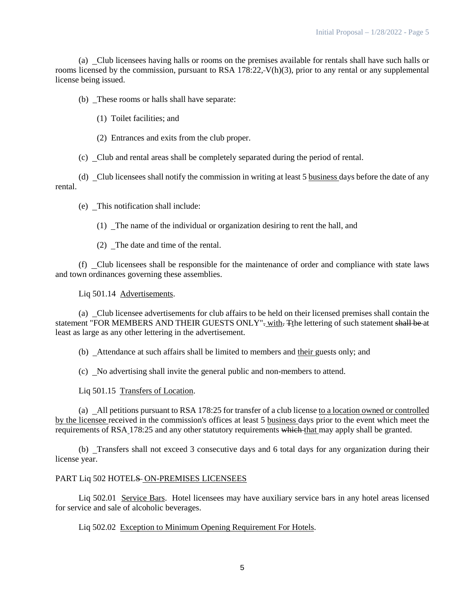(a) Club licensees having halls or rooms on the premises available for rentals shall have such halls or rooms licensed by the commission, pursuant to RSA 178:22, V(h)(3), prior to any rental or any supplemental license being issued.

(b) These rooms or halls shall have separate:

(1) Toilet facilities; and

(2) Entrances and exits from the club proper.

(c) Club and rental areas shall be completely separated during the period of rental.

(d) Club licensees shall notify the commission in writing at least 5 business days before the date of any rental.

(e) This notification shall include:

(1) The name of the individual or organization desiring to rent the hall, and

(2) The date and time of the rental.

(f) Club licensees shall be responsible for the maintenance of order and compliance with state laws and town ordinances governing these assemblies.

Liq 501.14 Advertisements.

(a) Club licensee advertisements for club affairs to be held on their licensed premises shall contain the statement "FOR MEMBERS AND THEIR GUESTS ONLY"- with. The lettering of such statement shall be at least as large as any other lettering in the advertisement.

(b) Attendance at such affairs shall be limited to members and their guests only; and

(c) No advertising shall invite the general public and non-members to attend.

Liq 501.15 Transfers of Location.

(a) All petitions pursuant to RSA 178:25 for transfer of a club license to a location owned or controlled by the licensee received in the commission's offices at least 5 business days prior to the event which meet the requirements of RSA 178:25 and any other statutory requirements which that may apply shall be granted.

(b) Transfers shall not exceed 3 consecutive days and 6 total days for any organization during their license year.

#### PART Liq 502 HOTELS ON-PREMISES LICENSEES

Liq 502.01 Service Bars. Hotel licensees may have auxiliary service bars in any hotel areas licensed for service and sale of alcoholic beverages.

Liq 502.02 Exception to Minimum Opening Requirement For Hotels.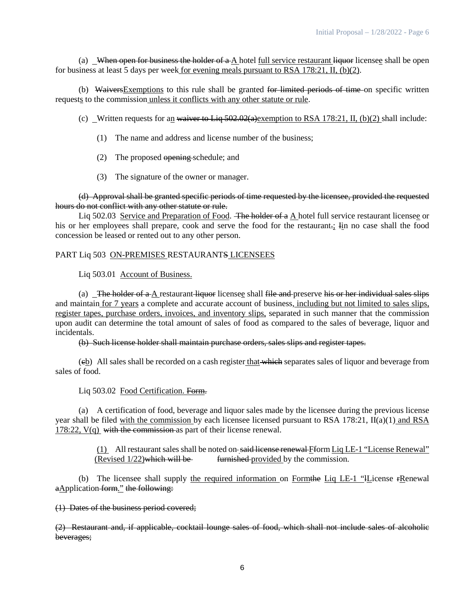(a) When open for business the holder of  $a A$  hotel full service restaurant liquor licensee shall be open for business at least 5 days per week for evening meals pursuant to RSA 178:21, II, (b)(2).

(b) WaiversExemptions to this rule shall be granted for limited periods of time on specific written requests to the commission unless it conflicts with any other statute or rule.

(c) Written requests for an waiver to Liq  $502.02(a)$  exemption to RSA 178:21, II, (b)(2) shall include:

- (1) The name and address and license number of the business;
- (2) The proposed opening schedule; and
- (3) The signature of the owner or manager.

(d) Approval shall be granted specific periods of time requested by the licensee, provided the requested hours do not conflict with any other statute or rule.

Liq 502.03 Service and Preparation of Food. The holder of a A hotel full service restaurant licensee or his or her employees shall prepare, cook and serve the food for the restaurant.; In no case shall the food concession be leased or rented out to any other person.

## PART Liq 503 ON-PREMISES RESTAURANTS LICENSEES

Liq 503.01 Account of Business.

(a) The holder of  $a$  A restaurant liquor licensee shall file and preserve his or her individual sales slips and maintain for 7 years a complete and accurate account of business, including but not limited to sales slips, register tapes, purchase orders, invoices, and inventory slips, separated in such manner that the commission upon audit can determine the total amount of sales of food as compared to the sales of beverage, liquor and incidentals.

(b) Such license holder shall maintain purchase orders, sales slips and register tapes.

 $(eb)$  All sales shall be recorded on a cash register that which separates sales of liquor and beverage from sales of food.

Liq 503.02 Food Certification. Form.

(a) A certification of food, beverage and liquor sales made by the licensee during the previous license year shall be filed with the commission by each licensee licensed pursuant to RSA 178:21, II(a)(1) and RSA 178:22, V(q) with the commission as part of their license renewal.

> (1) All restaurant sales shall be noted on said license renewal Fform Liq LE-1 "License Renewal" (Revised 1/22)which will be furnished provided by the commission.

(b) The licensee shall supply the required information on Form the Liq LE-1 "Hicense  $\epsilon$ Renewal aApplication form." the following:

(1) Dates of the business period covered;

(2) Restaurant and, if applicable, cocktail lounge sales of food, which shall not include sales of alcoholic beverages;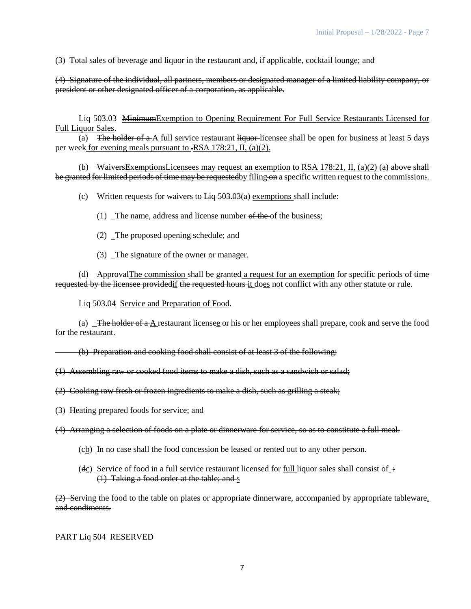(3) Total sales of beverage and liquor in the restaurant and, if applicable, cocktail lounge; and

(4) Signature of the individual, all partners, members or designated manager of a limited liability company, or president or other designated officer of a corporation, as applicable.

Liq 503.03 MinimumExemption to Opening Requirement For Full Service Restaurants Licensed for Full Liquor Sales.

(a) The holder of  $a \Delta$  full service restaurant liquor-licensee shall be open for business at least 5 days per week for evening meals pursuant to .RSA 178:21, II, (a)(2).

(b) Waivers Exemptions Licensees may request an exemption to RSA 178:21, II, (a)(2) (a) above shall be granted for limited periods of time may be requested by filing on a specific written request to the commission.

(c) Written requests for waivers to Lig  $\frac{503.03(a)}{a}$  exemptions shall include:

(1) The name, address and license number of the of the business;

- (2) The proposed opening schedule; and
- (3) The signature of the owner or manager.

(d) ApprovalThe commission shall be granted a request for an exemption for specific periods of time requested by the licensee providedif the requested hours it does not conflict with any other statute or rule.

Liq 503.04 Service and Preparation of Food.

(a) The holder of  $a \Delta$  restaurant licensee or his or her employees shall prepare, cook and serve the food for the restaurant.

(b) Preparation and cooking food shall consist of at least 3 of the following:

(1) Assembling raw or cooked food items to make a dish, such as a sandwich or salad;

(2) Cooking raw fresh or frozen ingredients to make a dish, such as grilling a steak;

(3) Heating prepared foods for service; and

(4) Arranging a selection of foods on a plate or dinnerware for service, so as to constitute a full meal.

- (cb) In no case shall the food concession be leased or rented out to any other person.
- ( $d_{\mathbb{C}}$ ) Service of food in a full service restaurant licensed for full liquor sales shall consist of : (1) Taking a food order at the table; and s

(2) Serving the food to the table on plates or appropriate dinnerware, accompanied by appropriate tableware. and condiments.

PART Liq 504 RESERVED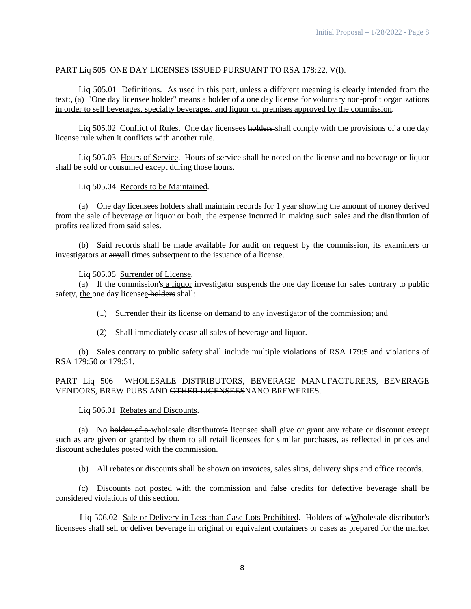## PART Liq 505 ONE DAY LICENSES ISSUED PURSUANT TO RSA 178:22, V(l).

Liq 505.01 Definitions. As used in this part, unless a different meaning is clearly intended from the text.  $(a)$  -"One day licensee holder" means a holder of a one day license for voluntary non-profit organizations in order to sell beverages, specialty beverages, and liquor on premises approved by the commission.

Liq 505.02 Conflict of Rules. One day licensees holders shall comply with the provisions of a one day license rule when it conflicts with another rule.

Liq 505.03 Hours of Service. Hours of service shall be noted on the license and no beverage or liquor shall be sold or consumed except during those hours.

#### Liq 505.04 Records to be Maintained.

(a) One day licensees holders shall maintain records for 1 year showing the amount of money derived from the sale of beverage or liquor or both, the expense incurred in making such sales and the distribution of profits realized from said sales.

(b) Said records shall be made available for audit on request by the commission, its examiners or investigators at anyall times subsequent to the issuance of a license.

Liq 505.05 Surrender of License.

(a) If the commission's a liquor investigator suspends the one day license for sales contrary to public safety, the one day licensee holders shall:

(1) Surrender their its license on demand to any investigator of the commission; and

(2) Shall immediately cease all sales of beverage and liquor.

(b) Sales contrary to public safety shall include multiple violations of RSA 179:5 and violations of RSA 179:50 or 179:51.

## PART Liq 506 WHOLESALE DISTRIBUTORS, BEVERAGE MANUFACTURERS, BEVERAGE VENDORS, BREW PUBS AND OTHER LICENSEESNANO BREWERIES.

#### Liq 506.01 Rebates and Discounts.

(a) No holder of a wholesale distributor's licensee shall give or grant any rebate or discount except such as are given or granted by them to all retail licensees for similar purchases, as reflected in prices and discount schedules posted with the commission.

(b) All rebates or discounts shall be shown on invoices, sales slips, delivery slips and office records.

(c) Discounts not posted with the commission and false credits for defective beverage shall be considered violations of this section.

Liq 506.02 Sale or Delivery in Less than Case Lots Prohibited. Holders of wWholesale distributor's licensees shall sell or deliver beverage in original or equivalent containers or cases as prepared for the market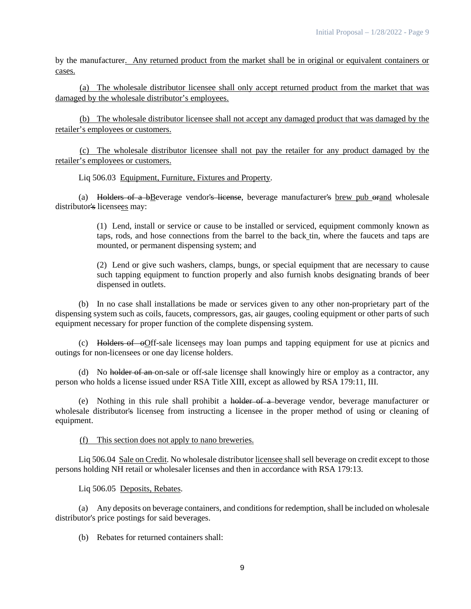by the manufacturer. Any returned product from the market shall be in original or equivalent containers or cases.

(a) The wholesale distributor licensee shall only accept returned product from the market that was damaged by the wholesale distributor's employees.

(b) The wholesale distributor licensee shall not accept any damaged product that was damaged by the retailer's employees or customers.

(c) The wholesale distributor licensee shall not pay the retailer for any product damaged by the retailer's employees or customers.

Liq 506.03 Equipment, Furniture, Fixtures and Property.

(a) Holders of a bBeverage vendor's license, beverage manufacturer's brew pub orand wholesale distributor's licensees may:

> (1) Lend, install or service or cause to be installed or serviced, equipment commonly known as taps, rods, and hose connections from the barrel to the back tin, where the faucets and taps are mounted, or permanent dispensing system; and

> (2) Lend or give such washers, clamps, bungs, or special equipment that are necessary to cause such tapping equipment to function properly and also furnish knobs designating brands of beer dispensed in outlets.

(b) In no case shall installations be made or services given to any other non-proprietary part of the dispensing system such as coils, faucets, compressors, gas, air gauges, cooling equipment or other parts of such equipment necessary for proper function of the complete dispensing system.

(c) Holders of oOff-sale licensees may loan pumps and tapping equipment for use at picnics and outings for non-licensees or one day license holders.

(d) No holder of an on-sale or off-sale licensee shall knowingly hire or employ as a contractor, any person who holds a license issued under RSA Title XIII, except as allowed by RSA 179:11, III.

(e) Nothing in this rule shall prohibit a holder of a beverage vendor, beverage manufacturer or wholesale distributor's licensee from instructing a licensee in the proper method of using or cleaning of equipment.

(f) This section does not apply to nano breweries.

Liq 506.04 Sale on Credit. No wholesale distributor licensee shall sell beverage on credit except to those persons holding NH retail or wholesaler licenses and then in accordance with RSA 179:13.

Liq 506.05 Deposits, Rebates.

(a) Any deposits on beverage containers, and conditions for redemption, shall be included on wholesale distributor's price postings for said beverages.

(b) Rebates for returned containers shall: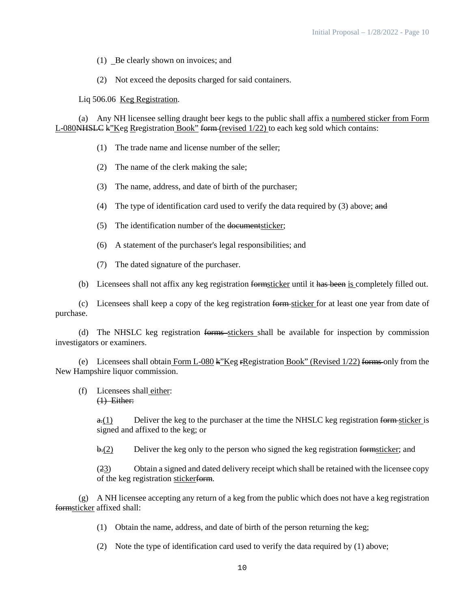- (1) Be clearly shown on invoices; and
- (2) Not exceed the deposits charged for said containers.

Liq 506.06 <u>Keg Registration</u>.

(a) Any NH licensee selling draught beer kegs to the public shall affix a numbered sticker from Form L-080<del>NHSLC</del> k"Keg R<del>r</del>egistration Book" form (revised  $1/22$ ) to each keg sold which contains:

- (1) The trade name and license number of the seller;
- (2) The name of the clerk making the sale;
- (3) The name, address, and date of birth of the purchaser;
- (4) The type of identification card used to verify the data required by (3) above; and
- (5) The identification number of the documentsticker;
- (6) A statement of the purchaser's legal responsibilities; and
- (7) The dated signature of the purchaser.
- (b) Licensees shall not affix any keg registration formsticker until it has been is completely filled out.

(c) Licensees shall keep a copy of the keg registration form sticker for at least one year from date of purchase.

(d) The NHSLC keg registration forms stickers shall be available for inspection by commission investigators or examiners.

(e) Licensees shall obtain Form L-080 k"Keg rRegistration Book" (Revised  $1/22$ ) forms only from the New Hampshire liquor commission.

## (f) Licensees shall either: (1) Either:

 $\theta$ .(1) Deliver the keg to the purchaser at the time the NHSLC keg registration form sticker is signed and affixed to the keg; or

 $\frac{b(2)}{2}$  Deliver the keg only to the person who signed the keg registration formsticker; and

 $(23)$  Obtain a signed and dated delivery receipt which shall be retained with the licensee copy of the keg registration stickerform.

(g) A NH licensee accepting any return of a keg from the public which does not have a keg registration formsticker affixed shall:

- (1) Obtain the name, address, and date of birth of the person returning the keg;
- (2) Note the type of identification card used to verify the data required by (1) above;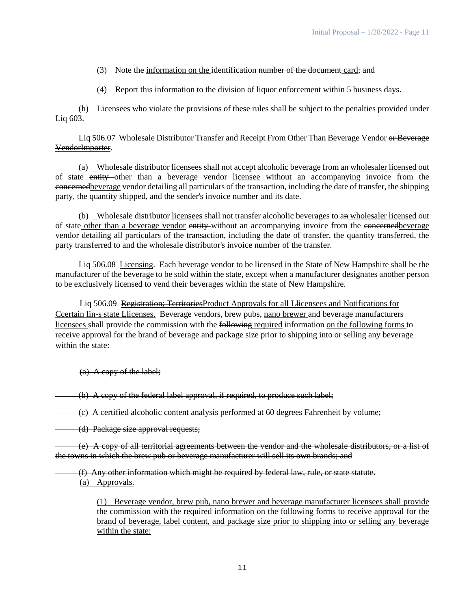- (3) Note the information on the identification number of the document card; and
- (4) Report this information to the division of liquor enforcement within 5 business days.

(h) Licensees who violate the provisions of these rules shall be subject to the penalties provided under Liq 603.

## Liq 506.07 Wholesale Distributor Transfer and Receipt From Other Than Beverage Vendor or Beverage VendorImporter.

(a) Wholesale distributor licensees shall not accept alcoholic beverage from an wholesaler licensed out of state entity other than a beverage vendor licensee without an accompanying invoice from the concernedbeverage vendor detailing all particulars of the transaction, including the date of transfer, the shipping party, the quantity shipped, and the sender's invoice number and its date.

(b) Wholesale distributor licensees shall not transfer alcoholic beverages to an wholesaler licensed out of state other than a beverage vendor entity without an accompanying invoice from the concernedbeverage vendor detailing all particulars of the transaction, including the date of transfer, the quantity transferred, the party transferred to and the wholesale distributor's invoice number of the transfer.

Liq 506.08 Licensing. Each beverage vendor to be licensed in the State of New Hampshire shall be the manufacturer of the beverage to be sold within the state, except when a manufacturer designates another person to be exclusively licensed to vend their beverages within the state of New Hampshire.

Liq 506.09 Registration; TerritoriesProduct Approvals for all Llicensees and Notifications for Ceertain Iin-s-state Llicenses. Beverage vendors, brew pubs, nano brewer and beverage manufacturers licensees shall provide the commission with the following required information on the following forms to receive approval for the brand of beverage and package size prior to shipping into or selling any beverage within the state:

(a) A copy of the label;

(b) A copy of the federal label approval, if required, to produce such label;

(c) A certified alcoholic content analysis performed at 60 degrees Fahrenheit by volume;

(d) Package size approval requests;

 $(e)$  A copy of all territorial agreements between the vendor and the wholesale distributors, or a list of the towns in which the brew pub or beverage manufacturer will sell its own brands; and

(f) Any other information which might be required by federal law, rule, or state statute. (a) Approvals.

(1) Beverage vendor, brew pub, nano brewer and beverage manufacturer licensees shall provide the commission with the required information on the following forms to receive approval for the brand of beverage, label content, and package size prior to shipping into or selling any beverage within the state: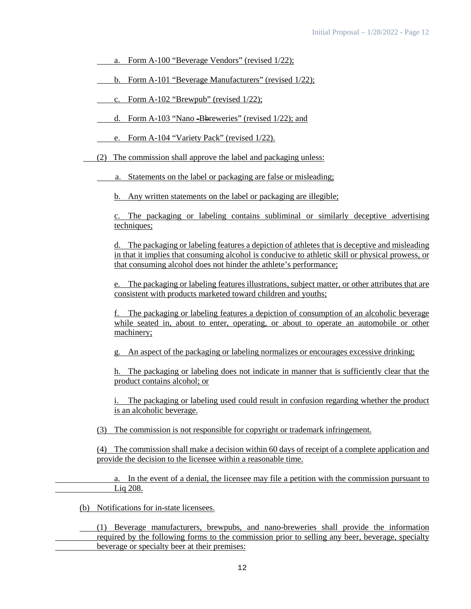- a. Form A-100 "Beverage Vendors" (revised 1/22);
- b. Form A-101 "Beverage Manufacturers" (revised 1/22);
- c. Form A-102 "Brewpub" (revised 1/22);
- d. Form A-103 "Nano -Bbreweries" (revised 1/22); and
- e. Form A-104 "Variety Pack" (revised 1/22).
- (2) The commission shall approve the label and packaging unless:
	- a. Statements on the label or packaging are false or misleading;
		- b. Any written statements on the label or packaging are illegible;

c. The packaging or labeling contains subliminal or similarly deceptive advertising techniques:

d. The packaging or labeling features a depiction of athletes that is deceptive and misleading in that it implies that consuming alcohol is conducive to athletic skill or physical prowess, or that consuming alcohol does not hinder the athlete's performance;

e. The packaging or labeling features illustrations, subject matter, or other attributes that are consistent with products marketed toward children and youths;

f. The packaging or labeling features a depiction of consumption of an alcoholic beverage while seated in, about to enter, operating, or about to operate an automobile or other machinery;

g. An aspect of the packaging or labeling normalizes or encourages excessive drinking;

h. The packaging or labeling does not indicate in manner that is sufficiently clear that the product contains alcohol; or

i. The packaging or labeling used could result in confusion regarding whether the product is an alcoholic beverage.

(3) The commission is not responsible for copyright or trademark infringement.

(4) The commission shall make a decision within 60 days of receipt of a complete application and provide the decision to the licensee within a reasonable time.

a. In the event of a denial, the licensee may file a petition with the commission pursuant to Liq 208.

(b) Notifications for in-state licensees.

(1) Beverage manufacturers, brewpubs, and nano-breweries shall provide the information required by the following forms to the commission prior to selling any beer, beverage, specialty beverage or specialty beer at their premises: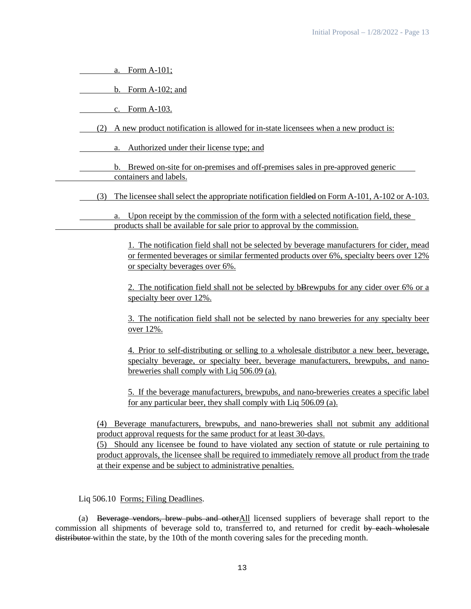| Form A-101;<br>a.                                                                                                                                                                                                                                                                                                                                                                                                                           |
|---------------------------------------------------------------------------------------------------------------------------------------------------------------------------------------------------------------------------------------------------------------------------------------------------------------------------------------------------------------------------------------------------------------------------------------------|
| b. Form $A-102$ ; and                                                                                                                                                                                                                                                                                                                                                                                                                       |
| c. Form A-103.                                                                                                                                                                                                                                                                                                                                                                                                                              |
| A new product notification is allowed for in-state licensees when a new product is:<br>(2)                                                                                                                                                                                                                                                                                                                                                  |
| Authorized under their license type; and<br>a.                                                                                                                                                                                                                                                                                                                                                                                              |
| b. Brewed on-site for on-premises and off-premises sales in pre-approved generic<br>containers and labels.                                                                                                                                                                                                                                                                                                                                  |
| The licensee shall select the appropriate notification field lead on Form A-101, A-102 or A-103.<br>(3)                                                                                                                                                                                                                                                                                                                                     |
| Upon receipt by the commission of the form with a selected notification field, these<br>products shall be available for sale prior to approval by the commission.                                                                                                                                                                                                                                                                           |
| 1. The notification field shall not be selected by beverage manufacturers for cider, mead<br>or fermented beverages or similar fermented products over 6%, specialty beers over 12%<br>or specialty beverages over 6%.                                                                                                                                                                                                                      |
| 2. The notification field shall not be selected by bBrewpubs for any cider over 6% or a<br>specialty beer over 12%.                                                                                                                                                                                                                                                                                                                         |
| 3. The notification field shall not be selected by nano breweries for any specialty beer<br>over 12%.                                                                                                                                                                                                                                                                                                                                       |
| 4. Prior to self-distributing or selling to a wholesale distributor a new beer, beverage,<br>specialty beverage, or specialty beer, beverage manufacturers, brewpubs, and nano-<br>breweries shall comply with Liq 506.09 (a).                                                                                                                                                                                                              |
| 5. If the beverage manufacturers, brewpubs, and nano-breweries creates a specific label<br>for any particular beer, they shall comply with Liq 506.09 (a).                                                                                                                                                                                                                                                                                  |
| Beverage manufacturers, brewpubs, and nano-breweries shall not submit any additional<br>(4)<br>product approval requests for the same product for at least 30-days.<br>(5) Should any licensee be found to have violated any section of statute or rule pertaining to<br>product approvals, the licensee shall be required to immediately remove all product from the trade<br>at their expense and be subject to administrative penalties. |
| Liq 506.10 Forms; Filing Deadlines.                                                                                                                                                                                                                                                                                                                                                                                                         |
| Beverage vendors, brew pubs and other All licensed suppliers of beverage shall report to the<br>(a)                                                                                                                                                                                                                                                                                                                                         |

commission all shipments of beverage sold to, transferred to, and returned for credit by each wholesale distributor within the state, by the 10th of the month covering sales for the preceding month.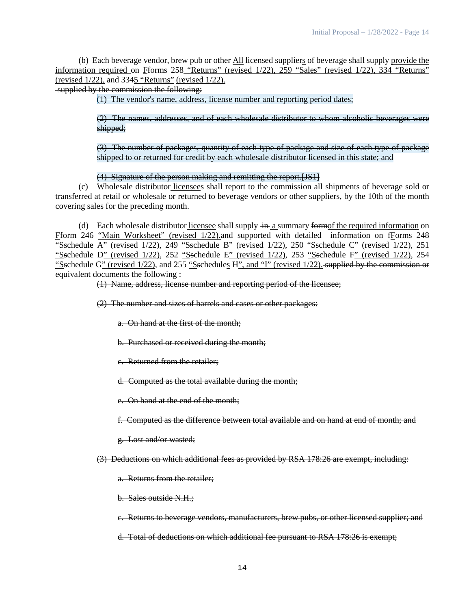(b) Each beverage vendor, brew pub or other All licensed suppliers of beverage shall supply provide the information required on Fforms 258 "Returns" (revised 1/22), 259 "Sales" (revised 1/22), 334 "Returns" (revised 1/22), and 3345 "Returns" (revised 1/22).

supplied by the commission the following:

(1) The vendor's name, address, license number and reporting period dates;

(2) The names, addresses, and of each wholesale distributor to whom alcoholic beverages were shipped;

(3) The number of packages, quantity of each type of package and size of each type of package shipped to or returned for credit by each wholesale distributor licensed in this state; and

(4) Signature of the person making and remitting the report.[JS1]

(c) Wholesale distributor licensees shall report to the commission all shipments of beverage sold or transferred at retail or wholesale or returned to beverage vendors or other suppliers, by the 10th of the month covering sales for the preceding month.

(d) Each wholesale distributor licensee shall supply  $+n_1$  a summary formof the required information on Fform 246 "Main Worksheet" (revised 1/22)-and supported with detailed information on fForms 248 "Sschedule A" (revised 1/22), 249 "Sschedule B" (revised 1/22), 250 "Sschedule C" (revised 1/22), 251 "Sschedule D" (revised 1/22), 252 "Sschedule E" (revised 1/22), 253 "Sschedule F" (revised 1/22), 254 "Sschedule G" (revised 1/22), and 255 "Sschedules H", and "I" (revised 1/22). supplied by the commission or equivalent documents the following :

(1) Name, address, license number and reporting period of the licensee;

(2) The number and sizes of barrels and cases or other packages:

a. On hand at the first of the month;

b. Purchased or received during the month;

c. Returned from the retailer;

d. Computed as the total available during the month;

e. On hand at the end of the month;

f. Computed as the difference between total available and on hand at end of month; and

g. Lost and/or wasted;

(3) Deductions on which additional fees as provided by RSA 178:26 are exempt, including:

a. Returns from the retailer;

b. Sales outside N.H.;

c. Returns to beverage vendors, manufacturers, brew pubs, or other licensed supplier; and

d. Total of deductions on which additional fee pursuant to RSA 178:26 is exempt;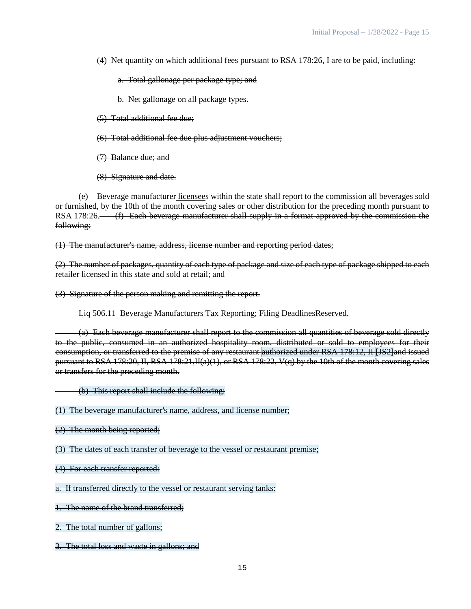(4) Net quantity on which additional fees pursuant to RSA 178:26, I are to be paid, including:

a. Total gallonage per package type; and

b. Net gallonage on all package types.

(5) Total additional fee due;

(6) Total additional fee due plus adjustment vouchers;

(7) Balance due; and

(8) Signature and date.

(e) Beverage manufacturer licensees within the state shall report to the commission all beverages sold or furnished, by the 10th of the month covering sales or other distribution for the preceding month pursuant to RSA 178:26. (f) Each beverage manufacturer shall supply in a format approved by the commission the following:

(1) The manufacturer's name, address, license number and reporting period dates;

(2) The number of packages, quantity of each type of package and size of each type of package shipped to each retailer licensed in this state and sold at retail; and

(3) Signature of the person making and remitting the report.

Liq 506.11 Beverage Manufacturers Tax Reporting; Filing DeadlinesReserved.

(a) Each beverage manufacturer shall report to the commission all quantities of beverage sold directly to the public, consumed in an authorized hospitality room, distributed or sold to employees for their consumption, or transferred to the premise of any restaurant authorized under RSA 178:12, II [JS2]and issued pursuant to RSA 178:20, II, RSA 178:21,II(a)(1), or RSA 178:22, V(q) by the 10th of the month covering sales or transfers for the preceding month.

(b) This report shall include the following:

(1) The beverage manufacturer's name, address, and license number;

(2) The month being reported;

(3) The dates of each transfer of beverage to the vessel or restaurant premise;

(4) For each transfer reported:

a. If transferred directly to the vessel or restaurant serving tanks:

1. The name of the brand transferred;

2. The total number of gallons;

3. The total loss and waste in gallons; and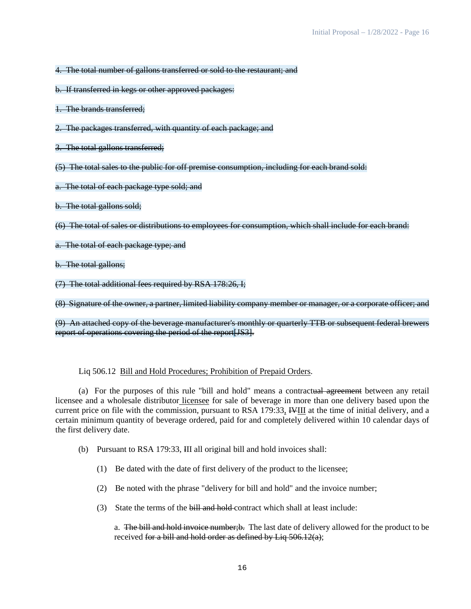4. The total number of gallons transferred or sold to the restaurant; and

- b. If transferred in kegs or other approved packages:
- 1. The brands transferred;
- 2. The packages transferred, with quantity of each package; and
- 3. The total gallons transferred;
- (5) The total sales to the public for off premise consumption, including for each brand sold:
- a. The total of each package type sold; and
- b. The total gallons sold;

(6) The total of sales or distributions to employees for consumption, which shall include for each brand:

- a. The total of each package type; and
- b. The total gallons;

(7) The total additional fees required by RSA 178:26, I;

(8) Signature of the owner, a partner, limited liability company member or manager, or a corporate officer; and

(9) An attached copy of the beverage manufacturer's monthly or quarterly TTB or subsequent federal brewers report of operations covering the period of the report[JS3].

## Liq 506.12 Bill and Hold Procedures; Prohibition of Prepaid Orders.

(a) For the purposes of this rule "bill and hold" means a contractual agreement between any retail licensee and a wholesale distributor licensee for sale of beverage in more than one delivery based upon the current price on file with the commission, pursuant to RSA 179:33, IVIII at the time of initial delivery, and a certain minimum quantity of beverage ordered, paid for and completely delivered within 10 calendar days of the first delivery date.

- (b) Pursuant to RSA 179:33, III all original bill and hold invoices shall:
	- (1) Be dated with the date of first delivery of the product to the licensee;
	- (2) Be noted with the phrase "delivery for bill and hold" and the invoice number;
	- (3) State the terms of the bill and hold contract which shall at least include:

a. The bill and hold invoice number; b. The last date of delivery allowed for the product to be received for a bill and hold order as defined by Liq 506.12(a);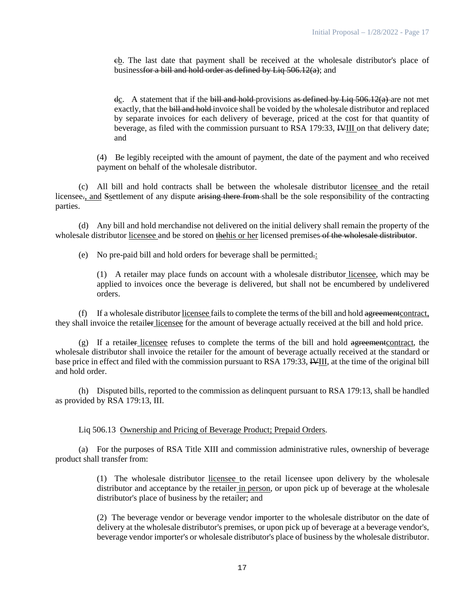cb. The last date that payment shall be received at the wholesale distributor's place of businessfor a bill and hold order as defined by Liq 506.12(a); and

dc. A statement that if the bill and hold-provisions as defined by Liq  $\frac{506.12(a)}{a}$  are not met exactly, that the bill and hold invoice shall be voided by the wholesale distributor and replaced by separate invoices for each delivery of beverage, priced at the cost for that quantity of beverage, as filed with the commission pursuant to RSA 179:33, IVIII on that delivery date; and

(4) Be legibly receipted with the amount of payment, the date of the payment and who received payment on behalf of the wholesale distributor.

(c) All bill and hold contracts shall be between the wholesale distributor licensee and the retail licensee., and Ssettlement of any dispute arising there from shall be the sole responsibility of the contracting parties.

(d) Any bill and hold merchandise not delivered on the initial delivery shall remain the property of the wholesale distributor licensee and be stored on the his or her licensed premises of the wholesale distributor.

(e) No pre-paid bill and hold orders for beverage shall be permitted.:

(1) A retailer may place funds on account with a wholesale distributor licensee, which may be applied to invoices once the beverage is delivered, but shall not be encumbered by undelivered orders.

(f) If a wholesale distributor licensee fails to complete the terms of the bill and hold agreementcontract, they shall invoice the retailer licensee for the amount of beverage actually received at the bill and hold price.

(g) If a retailer licensee refuses to complete the terms of the bill and hold agreementcontract, the wholesale distributor shall invoice the retailer for the amount of beverage actually received at the standard or base price in effect and filed with the commission pursuant to RSA 179:33, IVIII, at the time of the original bill and hold order.

(h) Disputed bills, reported to the commission as delinquent pursuant to RSA 179:13, shall be handled as provided by RSA 179:13, III.

Liq 506.13 Ownership and Pricing of Beverage Product; Prepaid Orders.

(a) For the purposes of RSA Title XIII and commission administrative rules, ownership of beverage product shall transfer from:

> (1) The wholesale distributor licensee to the retail licensee upon delivery by the wholesale distributor and acceptance by the retailer in person, or upon pick up of beverage at the wholesale distributor's place of business by the retailer; and

> (2) The beverage vendor or beverage vendor importer to the wholesale distributor on the date of delivery at the wholesale distributor's premises, or upon pick up of beverage at a beverage vendor's, beverage vendor importer's or wholesale distributor's place of business by the wholesale distributor.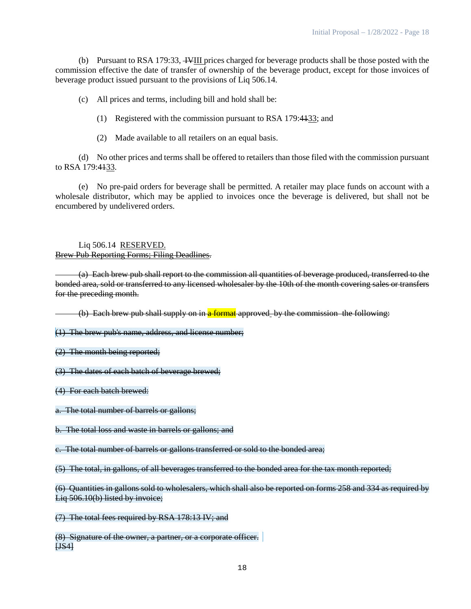(b) Pursuant to RSA 179:33, IVIII prices charged for beverage products shall be those posted with the commission effective the date of transfer of ownership of the beverage product, except for those invoices of beverage product issued pursuant to the provisions of Liq 506.14.

(c) All prices and terms, including bill and hold shall be:

(1) Registered with the commission pursuant to RSA 179:4133; and

(2) Made available to all retailers on an equal basis.

(d) No other prices and terms shall be offered to retailers than those filed with the commission pursuant to RSA 179:4133.

(e) No pre-paid orders for beverage shall be permitted. A retailer may place funds on account with a wholesale distributor, which may be applied to invoices once the beverage is delivered, but shall not be encumbered by undelivered orders.

Liq 506.14 RESERVED. Brew Pub Reporting Forms; Filing Deadlines.

(a) Each brew pub shall report to the commission all quantities of beverage produced, transferred to the bonded area, sold or transferred to any licensed wholesaler by the 10th of the month covering sales or transfers for the preceding month.

(b) Each brew pub shall supply on in a format approved by the commission the following:

(1) The brew pub's name, address, and license number;

(2) The month being reported;

(3) The dates of each batch of beverage brewed;

(4) For each batch brewed:

a. The total number of barrels or gallons;

b. The total loss and waste in barrels or gallons; and

c. The total number of barrels or gallons transferred or sold to the bonded area;

(5) The total, in gallons, of all beverages transferred to the bonded area for the tax month reported;

(6) Quantities in gallons sold to wholesalers, which shall also be reported on forms 258 and 334 as required by Liq 506.10(b) listed by invoice;

(7) The total fees required by RSA 178:13 IV; and

(8) Signature of the owner, a partner, or a corporate officer. [JS4]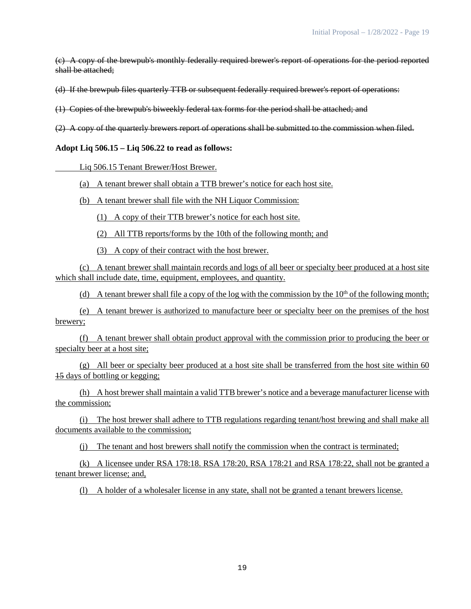(c) A copy of the brewpub's monthly federally required brewer's report of operations for the period reported shall be attached;

(d) If the brewpub files quarterly TTB or subsequent federally required brewer's report of operations:

(1) Copies of the brewpub's biweekly federal tax forms for the period shall be attached; and

(2) A copy of the quarterly brewers report of operations shall be submitted to the commission when filed.

**Adopt Liq 506.15 – Liq 506.22 to read as follows:**

Liq 506.15 Tenant Brewer/Host Brewer.

(a) A tenant brewer shall obtain a TTB brewer's notice for each host site.

(b) A tenant brewer shall file with the NH Liquor Commission:

(1) A copy of their TTB brewer's notice for each host site.

(2) All TTB reports/forms by the 10th of the following month; and

(3) A copy of their contract with the host brewer.

(c) A tenant brewer shall maintain records and logs of all beer or specialty beer produced at a host site which shall include date, time, equipment, employees, and quantity.

(d) A tenant brewer shall file a copy of the log with the commission by the  $10<sup>th</sup>$  of the following month;

(e) A tenant brewer is authorized to manufacture beer or specialty beer on the premises of the host brewery;

(f) A tenant brewer shall obtain product approval with the commission prior to producing the beer or specialty beer at a host site;

(g) All beer or specialty beer produced at a host site shall be transferred from the host site within 60 15 days of bottling or kegging;

(h) A host brewer shall maintain a valid TTB brewer's notice and a beverage manufacturer license with the commission;

(i) The host brewer shall adhere to TTB regulations regarding tenant/host brewing and shall make all documents available to the commission;

(j) The tenant and host brewers shall notify the commission when the contract is terminated;

(k) A licensee under RSA 178:18. RSA 178:20, RSA 178:21 and RSA 178:22, shall not be granted a tenant brewer license; and,

(l) A holder of a wholesaler license in any state, shall not be granted a tenant brewers license.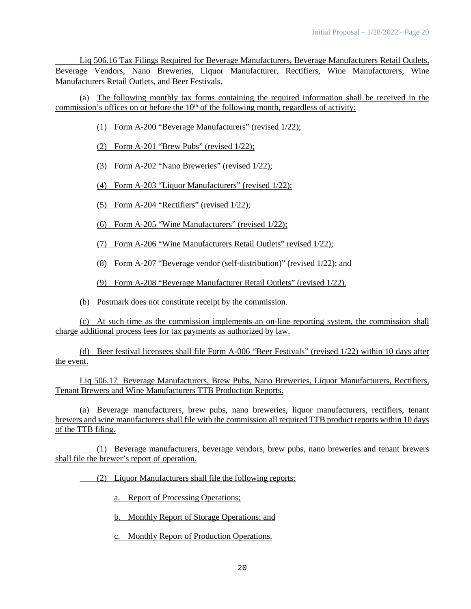Liq 506.16 Tax Filings Required for Beverage Manufacturers, Beverage Manufacturers Retail Outlets, Beverage Vendors, Nano Breweries, Liquor Manufacturer, Rectifiers, Wine Manufacturers, Wine Manufacturers Retail Outlets, and Beer Festivals.

(a) The following monthly tax forms containing the required information shall be received in the commission's offices on or before the  $10<sup>th</sup>$  of the following month, regardless of activity:

(1) Form A-200 "Beverage Manufacturers" (revised 1/22);

(2) Form A-201 "Brew Pubs" (revised 1/22);

(3) Form A-202 "Nano Breweries" (revised 1/22);

(4) Form A-203 "Liquor Manufacturers" (revised 1/22);

(5) Form A-204 "Rectifiers" (revised 1/22);

(6) Form A-205 "Wine Manufacturers" (revised 1/22);

(7) Form A-206 "Wine Manufacturers Retail Outlets" revised 1/22);

(8) Form A-207 "Beverage vendor (self-distribution)" (revised 1/22); and

(9) Form A-208 "Beverage Manufacturer Retail Outlets" (revised 1/22).

(b) Postmark does not constitute receipt by the commission.

(c) At such time as the commission implements an on-line reporting system, the commission shall charge additional process fees for tax payments as authorized by law.

(d) Beer festival licensees shall file Form A-006 "Beer Festivals" (revised 1/22) within 10 days after the event.

Liq 506.17 Beverage Manufacturers, Brew Pubs, Nano Breweries, Liquor Manufacturers, Rectifiers, Tenant Brewers and Wine Manufacturers TTB Production Reports.

(a) Beverage manufacturers, brew pubs, nano breweries, liquor manufacturers, rectifiers, tenant brewers and wine manufacturers shall file with the commission all required TTB product reports within 10 days of the TTB filing.

(1) Beverage manufacturers, beverage vendors, brew pubs, nano breweries and tenant brewers shall file the brewer's report of operation.

(2) Liquor Manufacturers shall file the following reports:

a. Report of Processing Operations;

b. Monthly Report of Storage Operations; and

c. Monthly Report of Production Operations.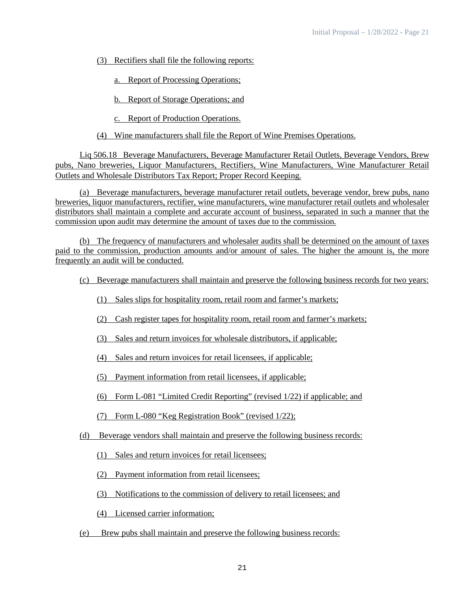(3) Rectifiers shall file the following reports:

a. Report of Processing Operations;

b. Report of Storage Operations; and

c. Report of Production Operations.

(4) Wine manufacturers shall file the Report of Wine Premises Operations.

Liq 506.18 Beverage Manufacturers, Beverage Manufacturer Retail Outlets, Beverage Vendors, Brew pubs, Nano breweries, Liquor Manufacturers, Rectifiers, Wine Manufacturers, Wine Manufacturer Retail Outlets and Wholesale Distributors Tax Report; Proper Record Keeping.

(a) Beverage manufacturers, beverage manufacturer retail outlets, beverage vendor, brew pubs, nano breweries, liquor manufacturers, rectifier, wine manufacturers, wine manufacturer retail outlets and wholesaler distributors shall maintain a complete and accurate account of business, separated in such a manner that the commission upon audit may determine the amount of taxes due to the commission.

(b) The frequency of manufacturers and wholesaler audits shall be determined on the amount of taxes paid to the commission, production amounts and/or amount of sales. The higher the amount is, the more frequently an audit will be conducted.

- (c) Beverage manufacturers shall maintain and preserve the following business records for two years:
	- (1) Sales slips for hospitality room, retail room and farmer's markets;
	- (2) Cash register tapes for hospitality room, retail room and farmer's markets;
	- (3) Sales and return invoices for wholesale distributors, if applicable;
	- (4) Sales and return invoices for retail licensees, if applicable;
	- (5) Payment information from retail licensees, if applicable;
	- (6) Form L-081 "Limited Credit Reporting" (revised 1/22) if applicable; and
	- (7) Form L-080 "Keg Registration Book" (revised 1/22);
- (d) Beverage vendors shall maintain and preserve the following business records:
	- (1) Sales and return invoices for retail licensees;
	- (2) Payment information from retail licensees;
	- (3) Notifications to the commission of delivery to retail licensees; and
	- (4) Licensed carrier information;
- (e) Brew pubs shall maintain and preserve the following business records: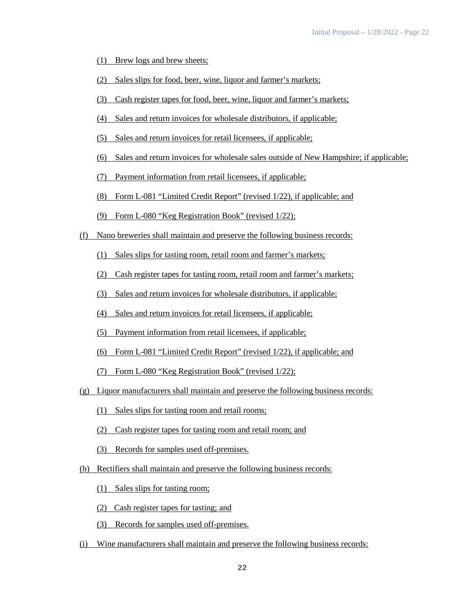- (1) Brew logs and brew sheets;
- (2) Sales slips for food, beer, wine, liquor and farmer's markets;
- (3) Cash register tapes for food, beer, wine, liquor and farmer's markets;
- (4) Sales and return invoices for wholesale distributors, if applicable;
- (5) Sales and return invoices for retail licensees, if applicable;
- (6) Sales and return invoices for wholesale sales outside of New Hampshire; if applicable;
- (7) Payment information from retail licensees, if applicable;
- (8) Form L-081 "Limited Credit Report" (revised 1/22), if applicable; and
- (9) Form L-080 "Keg Registration Book" (revised 1/22);
- (f) Nano breweries shall maintain and preserve the following business records:
	- (1) Sales slips for tasting room, retail room and farmer's markets;
	- (2) Cash register tapes for tasting room, retail room and farmer's markets;
	- (3) Sales and return invoices for wholesale distributors, if applicable;
	- (4) Sales and return invoices for retail licensees, if applicable;
	- (5) Payment information from retail licensees, if applicable;
	- (6) Form L-081 "Limited Credit Report" (revised 1/22), if applicable; and
	- (7) Form L-080 "Keg Registration Book" (revised 1/22);
- (g) Liquor manufacturers shall maintain and preserve the following business records:
	- (1) Sales slips for tasting room and retail rooms;
	- (2) Cash register tapes for tasting room and retail room; and
	- (3) Records for samples used off-premises.
- (h) Rectifiers shall maintain and preserve the following business records:
	- (1) Sales slips for tasting room;
	- (2) Cash register tapes for tasting; and
	- (3) Records for samples used off-premises.
- (i) Wine manufacturers shall maintain and preserve the following business records: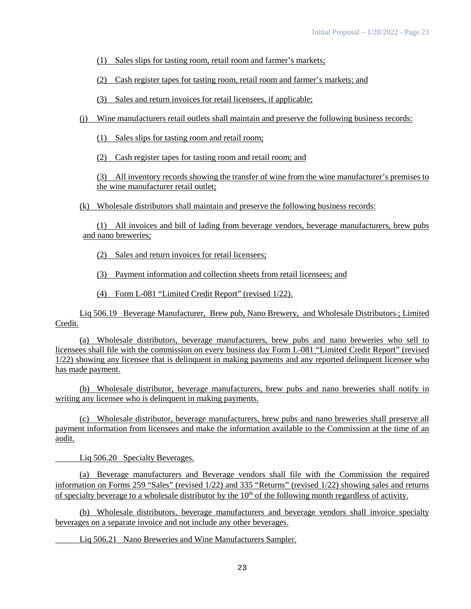(1) Sales slips for tasting room, retail room and farmer's markets;

(2) Cash register tapes for tasting room, retail room and farmer's markets; and

(3) Sales and return invoices for retail licensees, if applicable;

(j) Wine manufacturers retail outlets shall maintain and preserve the following business records:

(1) Sales slips for tasting room and retail room;

(2) Cash register tapes for tasting room and retail room; and

(3) All inventory records showing the transfer of wine from the wine manufacturer's premises to the wine manufacturer retail outlet;

(k) Wholesale distributors shall maintain and preserve the following business records:

(1) All invoices and bill of lading from beverage vendors, beverage manufacturers, brew pubs and nano breweries;

(2) Sales and return invoices for retail licensees;

(3) Payment information and collection sheets from retail licensees; and

(4) Form L-081 "Limited Credit Report" (revised 1/22).

Liq 506.19 Beverage Manufacturer, Brew pub, Nano Brewery, and Wholesale Distributors ; Limited Credit.

(a) Wholesale distributors, beverage manufacturers, brew pubs and nano breweries who sell to licensees shall file with the commission on every business day Form L-081 "Limited Credit Report" (revised 1/22) showing any licensee that is delinquent in making payments and any reported delinquent licensee who has made payment.

(b) Wholesale distributor, beverage manufacturers, brew pubs and nano breweries shall notify in writing any licensee who is delinquent in making payments.

(c) Wholesale distributor, beverage manufacturers, brew pubs and nano breweries shall preserve all payment information from licensees and make the information available to the Commission at the time of an audit.

Liq 506.20 Specialty Beverages.

(a) Beverage manufacturers and Beverage vendors shall file with the Commission the required information on Forms 259 "Sales" (revised 1/22) and 335 "Returns" (revised 1/22) showing sales and returns of specialty beverage to a wholesale distributor by the  $10<sup>th</sup>$  of the following month regardless of activity.

(b) Wholesale distributors, beverage manufacturers and beverage vendors shall invoice specialty beverages on a separate invoice and not include any other beverages.

Liq 506.21 Nano Breweries and Wine Manufacturers Sampler.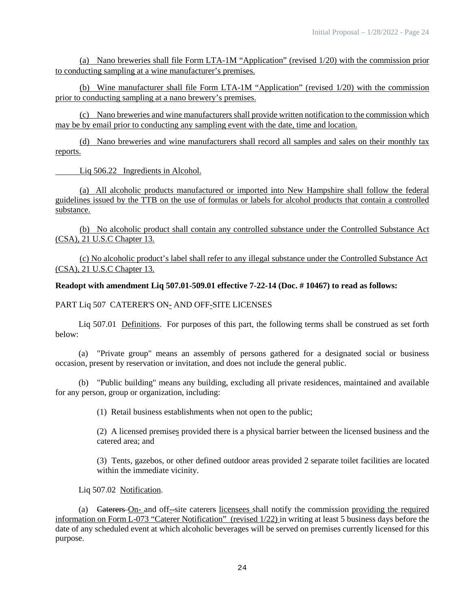(a) Nano breweries shall file Form LTA-1M "Application" (revised 1/20) with the commission prior to conducting sampling at a wine manufacturer's premises.

(b) Wine manufacturer shall file Form LTA-1M "Application" (revised 1/20) with the commission prior to conducting sampling at a nano brewery's premises.

(c) Nano breweries and wine manufacturers shall provide written notification to the commission which may be by email prior to conducting any sampling event with the date, time and location.

(d) Nano breweries and wine manufacturers shall record all samples and sales on their monthly tax reports.

Liq 506.22 Ingredients in Alcohol.

(a) All alcoholic products manufactured or imported into New Hampshire shall follow the federal guidelines issued by the TTB on the use of formulas or labels for alcohol products that contain a controlled substance.

(b) No alcoholic product shall contain any controlled substance under the Controlled Substance Act (CSA), 21 U.S.C Chapter 13.

(c) No alcoholic product's label shall refer to any illegal substance under the Controlled Substance Act (CSA), 21 U.S.C Chapter 13.

## **Readopt with amendment Liq 507.01-509.01 effective 7-22-14 (Doc. # 10467) to read as follows:**

## PART Liq 507 CATERER'S ON- AND OFF-SITE LICENSES

Liq 507.01 Definitions. For purposes of this part, the following terms shall be construed as set forth below:

(a) "Private group" means an assembly of persons gathered for a designated social or business occasion, present by reservation or invitation, and does not include the general public.

(b) "Public building" means any building, excluding all private residences, maintained and available for any person, group or organization, including:

(1) Retail business establishments when not open to the public;

(2) A licensed premises provided there is a physical barrier between the licensed business and the catered area; and

(3) Tents, gazebos, or other defined outdoor areas provided 2 separate toilet facilities are located within the immediate vicinity.

Liq 507.02 Notification.

(a) Caterers On- and off--site caterers licensees shall notify the commission providing the required information on Form L-073 "Caterer Notification" (revised 1/22) in writing at least 5 business days before the date of any scheduled event at which alcoholic beverages will be served on premises currently licensed for this purpose.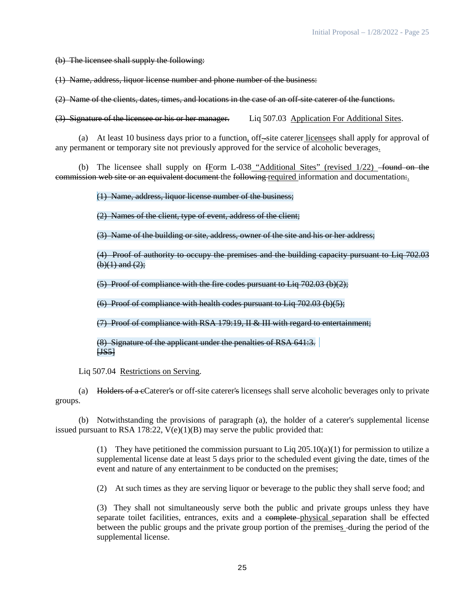(b) The licensee shall supply the following:

(1) Name, address, liquor license number and phone number of the business:

(2) Name of the clients, dates, times, and locations in the case of an off-site caterer of the functions.

(3) Signature of the licensee or his or her manager. Liq 507.03 Application For Additional Sites.

(a) At least 10 business days prior to a function, off-site caterer licensees shall apply for approval of any permanent or temporary site not previously approved for the service of alcoholic beverages.

(b) The licensee shall supply on  $f_{\text{Form}}$  L-038 "Additional Sites" (revised  $1/22$ ) found on the commission web site or an equivalent document the following required information and documentation.

(1) Name, address, liquor license number of the business;

(2) Names of the client, type of event, address of the client;

(3) Name of the building or site, address, owner of the site and his or her address;

(4) Proof of authority to occupy the premises and the building capacity pursuant to Liq 702.03  $(b)(1)$  and  $(2)$ ;

(5) Proof of compliance with the fire codes pursuant to Liq 702.03 (b)(2);

(6) Proof of compliance with health codes pursuant to Liq  $702.03$  (b)(5);

(7) Proof of compliance with RSA 179:19, II & III with regard to entertainment;

(8) Signature of the applicant under the penalties of RSA 641:3. [JS5]

Liq 507.04 Restrictions on Serving.

(a) Holders of a cCaterer's or off-site caterer's licensees shall serve alcoholic beverages only to private groups.

(b) Notwithstanding the provisions of paragraph (a), the holder of a caterer's supplemental license issued pursuant to RSA 178:22,  $V(e)(1)(B)$  may serve the public provided that:

> (1) They have petitioned the commission pursuant to Liq  $205.10(a)(1)$  for permission to utilize a supplemental license date at least 5 days prior to the scheduled event giving the date, times of the event and nature of any entertainment to be conducted on the premises;

(2) At such times as they are serving liquor or beverage to the public they shall serve food; and

(3) They shall not simultaneously serve both the public and private groups unless they have separate toilet facilities, entrances, exits and a complete-physical separation shall be effected between the public groups and the private group portion of the premises during the period of the supplemental license.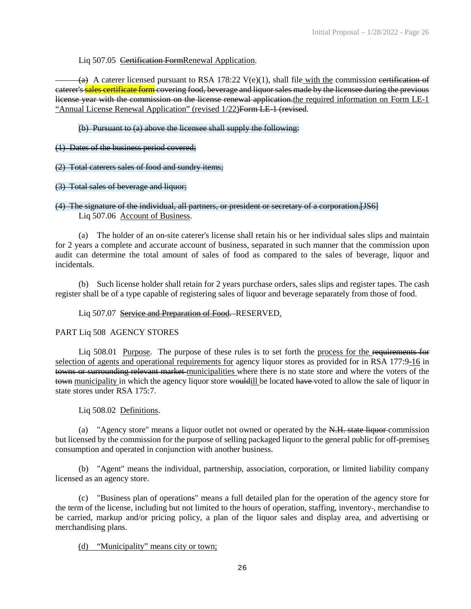## Liq 507.05 Certification FormRenewal Application.

(a) A caterer licensed pursuant to RSA 178:22  $V(e)(1)$ , shall file with the commission certification of caterer's sales certificate form covering food, beverage and liquor sales made by the licensee during the previous license year with the commission on the license renewal application.the required information on Form LE-1 "Annual License Renewal Application" (revised 1/22) Form LE 1 (revised.

(b) Pursuant to (a) above the licensee shall supply the following:

(1) Dates of the business period covered;

(2) Total caterers sales of food and sundry items;

#### (3) Total sales of beverage and liquor;

## (4) The signature of the individual, all partners, or president or secretary of a corporation.[JS6] Liq 507.06 Account of Business.

(a) The holder of an on-site caterer's license shall retain his or her individual sales slips and maintain for 2 years a complete and accurate account of business, separated in such manner that the commission upon audit can determine the total amount of sales of food as compared to the sales of beverage, liquor and incidentals.

(b) Such license holder shall retain for 2 years purchase orders, sales slips and register tapes. The cash register shall be of a type capable of registering sales of liquor and beverage separately from those of food.

Liq 507.07 Service and Preparation of Food. RESERVED.

## PART Liq 508 AGENCY STORES

Liq 508.01 Purpose. The purpose of these rules is to set forth the process for the requirements for selection of agents and operational requirements for agency liquor stores as provided for in RSA 177:9-16 in towns or surrounding relevant market municipalities where there is no state store and where the voters of the town municipality in which the agency liquor store would ill be located have-voted to allow the sale of liquor in state stores under RSA 175:7.

## Liq 508.02 Definitions.

(a) "Agency store" means a liquor outlet not owned or operated by the N.H. state liquor commission but licensed by the commission for the purpose of selling packaged liquor to the general public for off-premises consumption and operated in conjunction with another business.

(b) "Agent" means the individual, partnership, association, corporation, or limited liability company licensed as an agency store.

(c) "Business plan of operations" means a full detailed plan for the operation of the agency store for the term of the license, including but not limited to the hours of operation, staffing, inventory-, merchandise to be carried, markup and/or pricing policy, a plan of the liquor sales and display area, and advertising or merchandising plans.

## (d) "Municipality" means city or town;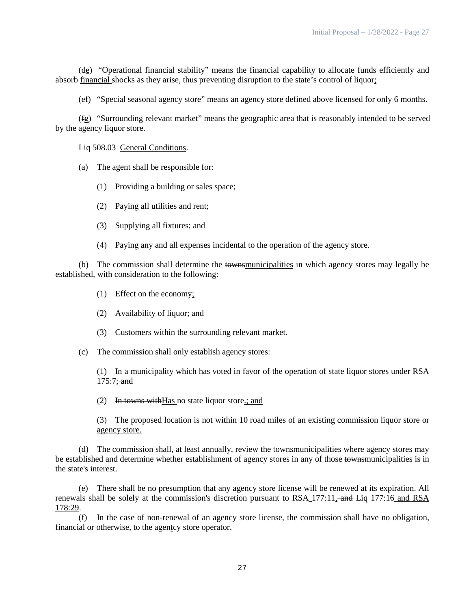(de) "Operational financial stability" means the financial capability to allocate funds efficiently and absorb financial shocks as they arise, thus preventing disruption to the state's control of liquor;

(ef) "Special seasonal agency store" means an agency store defined above licensed for only 6 months.

(fg) "Surrounding relevant market" means the geographic area that is reasonably intended to be served by the agency liquor store.

Liq 508.03 General Conditions.

- (a) The agent shall be responsible for:
	- (1) Providing a building or sales space;
	- (2) Paying all utilities and rent;
	- (3) Supplying all fixtures; and
	- (4) Paying any and all expenses incidental to the operation of the agency store.

(b) The commission shall determine the townsmunicipalities in which agency stores may legally be established, with consideration to the following:

- (1) Effect on the economy;
- (2) Availability of liquor; and
- (3) Customers within the surrounding relevant market.
- (c) The commission shall only establish agency stores:

(1) In a municipality which has voted in favor of the operation of state liquor stores under RSA  $175:7$ ; and

(2) In towns with Has no state liquor store.; and

(3) The proposed location is not within 10 road miles of an existing commission liquor store or agency store.

(d) The commission shall, at least annually, review the townsmunicipalities where agency stores may be established and determine whether establishment of agency stores in any of those townsmunicipalities is in the state's interest.

(e) There shall be no presumption that any agency store license will be renewed at its expiration. All renewals shall be solely at the commission's discretion pursuant to RSA 177:11, and Liq 177:16 and RSA 178:29.

(f) In the case of non-renewal of an agency store license, the commission shall have no obligation, financial or otherwise, to the agentey store operator.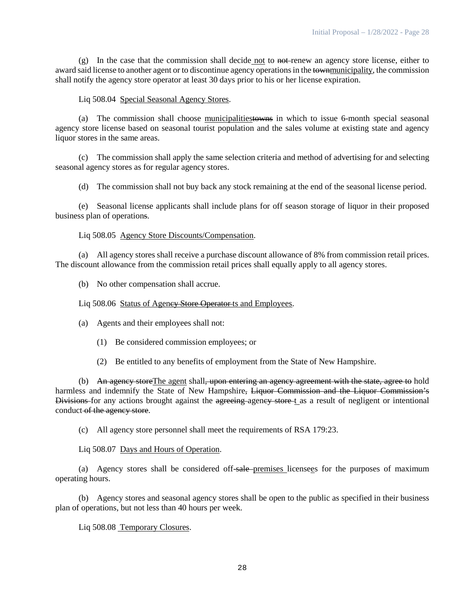(g) In the case that the commission shall decide not to  $n\theta$ -enew an agency store license, either to award said license to another agent or to discontinue agency operations in the townmunicipality, the commission shall notify the agency store operator at least 30 days prior to his or her license expiration.

## Liq 508.04 Special Seasonal Agency Stores.

(a) The commission shall choose municipalitiestowns in which to issue 6-month special seasonal agency store license based on seasonal tourist population and the sales volume at existing state and agency liquor stores in the same areas.

(c) The commission shall apply the same selection criteria and method of advertising for and selecting seasonal agency stores as for regular agency stores.

(d) The commission shall not buy back any stock remaining at the end of the seasonal license period.

(e) Seasonal license applicants shall include plans for off season storage of liquor in their proposed business plan of operations.

## Liq 508.05 Agency Store Discounts/Compensation.

(a) All agency stores shall receive a purchase discount allowance of 8% from commission retail prices. The discount allowance from the commission retail prices shall equally apply to all agency stores.

(b) No other compensation shall accrue.

## Liq 508.06 Status of Ageney Store Operator ts and Employees.

- (a) Agents and their employees shall not:
	- (1) Be considered commission employees; or
	- (2) Be entitled to any benefits of employment from the State of New Hampshire.

(b) An agency store The agent shall, upon entering an agency agreement with the state, agree to hold harmless and indemnify the State of New Hampshire, Liquor Commission and the Liquor Commission's Divisions for any actions brought against the agreeing agency store t as a result of negligent or intentional conduct-of the agency store.

(c) All agency store personnel shall meet the requirements of RSA 179:23.

## Liq 508.07 Days and Hours of Operation.

(a) Agency stores shall be considered off-sale premises licensees for the purposes of maximum operating hours.

(b) Agency stores and seasonal agency stores shall be open to the public as specified in their business plan of operations, but not less than 40 hours per week.

Liq 508.08 Temporary Closures.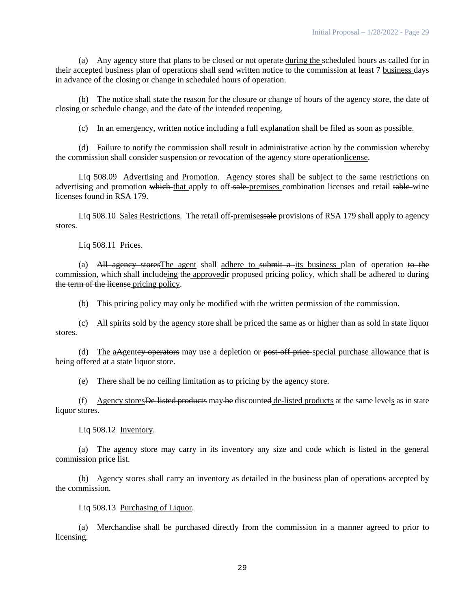(a) Any agency store that plans to be closed or not operate during the scheduled hours as called for in their accepted business plan of operations shall send written notice to the commission at least 7 business days in advance of the closing or change in scheduled hours of operation.

(b) The notice shall state the reason for the closure or change of hours of the agency store, the date of closing or schedule change, and the date of the intended reopening.

(c) In an emergency, written notice including a full explanation shall be filed as soon as possible.

(d) Failure to notify the commission shall result in administrative action by the commission whereby the commission shall consider suspension or revocation of the agency store operationlicense.

Liq 508.09 Advertising and Promotion. Agency stores shall be subject to the same restrictions on advertising and promotion which that apply to off-sale-premises combination licenses and retail table-wine licenses found in RSA 179.

Liq 508.10 Sales Restrictions. The retail off-premises ale provisions of RSA 179 shall apply to agency stores.

Liq 508.11 Prices.

(a) All agency stores The agent shall adhere to submit a its business plan of operation to the commission, which shall includeing the approvedir proposed pricing policy, which shall be adhered to during the term of the license pricing policy.

(b) This pricing policy may only be modified with the written permission of the commission.

(c) All spirits sold by the agency store shall be priced the same as or higher than as sold in state liquor stores.

(d) The aAgente<del>y operators</del> may use a depletion or <del>post-off price</del>-special purchase allowance that is being offered at a state liquor store.

(e) There shall be no ceiling limitation as to pricing by the agency store.

(f) Agency stores De-listed products may be discounted de-listed products at the same levels as in state liquor stores.

Liq 508.12 Inventory.

(a) The agency store may carry in its inventory any size and code which is listed in the general commission price list.

(b) Agency stores shall carry an inventory as detailed in the business plan of operations accepted by the commission.

#### Liq 508.13 Purchasing of Liquor.

(a) Merchandise shall be purchased directly from the commission in a manner agreed to prior to licensing.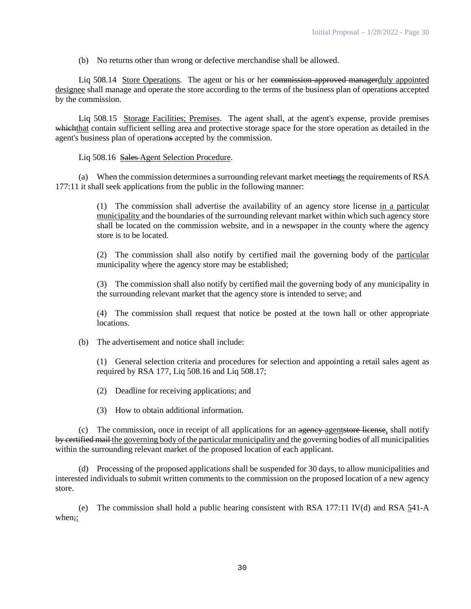(b) No returns other than wrong or defective merchandise shall be allowed.

Liq 508.14 Store Operations. The agent or his or her commission-approved managerduly appointed designee shall manage and operate the store according to the terms of the business plan of operations accepted by the commission.

Liq 508.15 Storage Facilities; Premises. The agent shall, at the agent's expense, provide premises which that contain sufficient selling area and protective storage space for the store operation as detailed in the agent's business plan of operations accepted by the commission.

## Liq 508.16 Sales Agent Selection Procedure.

(a) When the commission determines a surrounding relevant market meetings the requirements of RSA 177:11 it shall seek applications from the public in the following manner:

> (1) The commission shall advertise the availability of an agency store license in a particular municipality and the boundaries of the surrounding relevant market within which such agency store shall be located on the commission website, and in a newspaper in the county where the agency store is to be located.

> (2) The commission shall also notify by certified mail the governing body of the particular municipality where the agency store may be established;

> (3) The commission shall also notify by certified mail the governing body of any municipality in the surrounding relevant market that the agency store is intended to serve; and

> (4) The commission shall request that notice be posted at the town hall or other appropriate locations.

(b) The advertisement and notice shall include:

(1) General selection criteria and procedures for selection and appointing a retail sales agent as required by RSA 177, Liq 508.16 and Liq 508.17;

(2) Deadline for receiving applications; and

(3) How to obtain additional information.

 $(c)$  The commission, once in receipt of all applications for an  $a$  agency agentstore license, shall notify by certified mail the governing body of the particular municipality and the governing bodies of all municipalities within the surrounding relevant market of the proposed location of each applicant.

(d) Processing of the proposed applications shall be suspended for 30 days, to allow municipalities and interested individuals to submit written comments to the commission on the proposed location of a new agency store.

(e) The commission shall hold a public hearing consistent with RSA  $177:11$  IV(d) and RSA  $541-A$ when;: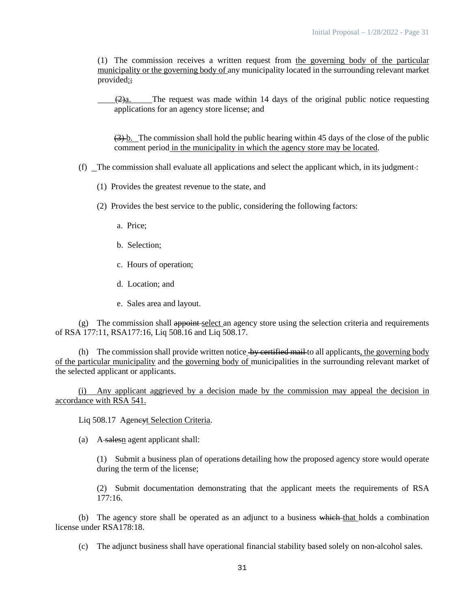(1) The commission receives a written request from the governing body of the particular municipality or the governing body of any municipality located in the surrounding relevant market provided:;

 $(2)a$ . The request was made within 14 days of the original public notice requesting applications for an agency store license; and

 $(3)$  b. The commission shall hold the public hearing within 45 days of the close of the public comment period in the municipality in which the agency store may be located.

- $(f)$  The commission shall evaluate all applications and select the applicant which, in its judgment :
	- (1) Provides the greatest revenue to the state, and
	- (2) Provides the best service to the public, considering the following factors:
		- a. Price;
		- b. Selection;
		- c. Hours of operation;
		- d. Location; and
		- e. Sales area and layout.

 $(g)$  The commission shall appoint select an agency store using the selection criteria and requirements of RSA 177:11, RSA177:16, Liq 508.16 and Liq 508.17.

(h) The commission shall provide written notice  $\frac{1}{2}$  by certified mail to all applicants, the governing body of the particular municipality and the governing body of municipalities in the surrounding relevant market of the selected applicant or applicants.

(i) Any applicant aggrieved by a decision made by the commission may appeal the decision in accordance with RSA 541.

Liq 508.17 Agenevt Selection Criteria.

(a) A-salesn agent applicant shall:

(1) Submit a business plan of operations detailing how the proposed agency store would operate during the term of the license;

(2) Submit documentation demonstrating that the applicant meets the requirements of RSA  $177:16.$ 

(b) The agency store shall be operated as an adjunct to a business which that holds a combination license under RSA178:18.

(c) The adjunct business shall have operational financial stability based solely on non-alcohol sales.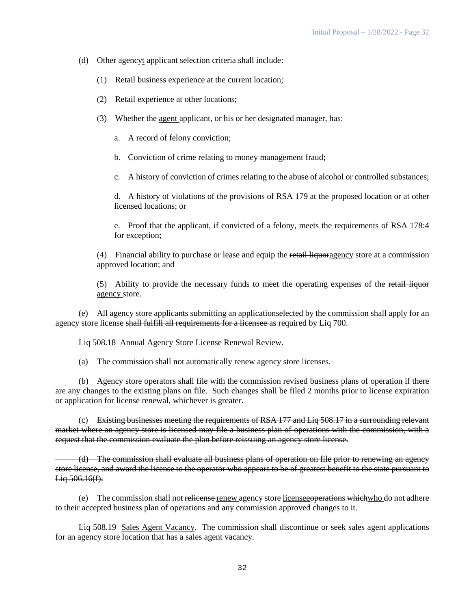- (d) Other ageneyt applicant selection criteria shall include:
	- (1) Retail business experience at the current location;
	- (2) Retail experience at other locations;
	- (3) Whether the agent applicant, or his or her designated manager, has:
		- a. A record of felony conviction;
		- b. Conviction of crime relating to money management fraud;
		- c. A history of conviction of crimes relating to the abuse of alcohol or controlled substances;

d. A history of violations of the provisions of RSA 179 at the proposed location or at other licensed locations; or

e. Proof that the applicant, if convicted of a felony, meets the requirements of RSA 178:4 for exception;

(4) Financial ability to purchase or lease and equip the retail liquoragency store at a commission approved location; and

(5) Ability to provide the necessary funds to meet the operating expenses of the retail liquor agency store.

(e) All agency store applicants submitting an applicationselected by the commission shall apply for an agency store license shall fulfill all requirements for a licensee as required by Liq 700.

Liq 508.18 Annual Agency Store License Renewal Review.

(a) The commission shall not automatically renew agency store licenses.

(b) Agency store operators shall file with the commission revised business plans of operation if there are any changes to the existing plans on file. Such changes shall be filed 2 months prior to license expiration or application for license renewal, whichever is greater.

 $(c)$  Existing businesses meeting the requirements of RSA 177 and Liq 508.17 in a surrounding relevant market where an agency store is licensed may file a business plan of operations with the commission, with a request that the commission evaluate the plan before reissuing an agency store license.

(d) The commission shall evaluate all business plans of operation on file prior to renewing an agency store license, and award the license to the operator who appears to be of greatest benefit to the state pursuant to Liq 506.16(f).

(e) The commission shall not relicense renew agency store licenses repose which who do not adhere to their accepted business plan of operations and any commission approved changes to it.

Liq 508.19 Sales Agent Vacancy. The commission shall discontinue or seek sales agent applications for an agency store location that has a sales agent vacancy.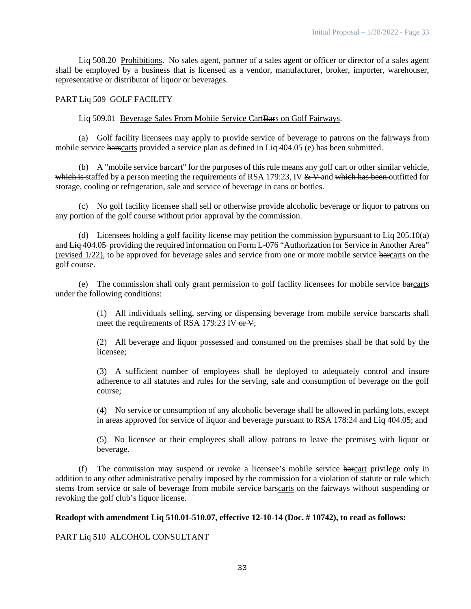Liq 508.20 Prohibitions. No sales agent, partner of a sales agent or officer or director of a sales agent shall be employed by a business that is licensed as a vendor, manufacturer, broker, importer, warehouser, representative or distributor of liquor or beverages.

## PART Liq 509 GOLF FACILITY

#### Liq 509.01 Beverage Sales From Mobile Service CartBars on Golf Fairways.

(a) Golf facility licensees may apply to provide service of beverage to patrons on the fairways from mobile service barscarts provided a service plan as defined in Liq 404.05 (e) has been submitted.

(b) A "mobile service barcart" for the purposes of this rule means any golf cart or other similar vehicle, which is staffed by a person meeting the requirements of RSA 179:23, IV  $&$  V and which has been outfitted for storage, cooling or refrigeration, sale and service of beverage in cans or bottles.

(c) No golf facility licensee shall sell or otherwise provide alcoholic beverage or liquor to patrons on any portion of the golf course without prior approval by the commission.

(d) Licensees holding a golf facility license may petition the commission by pursuant to Liq  $205.10(a)$ and Liq 404.05 providing the required information on Form L-076 "Authorization for Service in Another Area" (revised 1/22), to be approved for beverage sales and service from one or more mobile service barcarts on the golf course.

(e) The commission shall only grant permission to golf facility licensees for mobile service barcarts under the following conditions:

> (1) All individuals selling, serving or dispensing beverage from mobile service barscarts shall meet the requirements of RSA 179:23 IV or V;

> (2) All beverage and liquor possessed and consumed on the premises shall be that sold by the licensee;

> (3) A sufficient number of employees shall be deployed to adequately control and insure adherence to all statutes and rules for the serving, sale and consumption of beverage on the golf course;

> (4) No service or consumption of any alcoholic beverage shall be allowed in parking lots, except in areas approved for service of liquor and beverage pursuant to RSA 178:24 and Liq 404.05; and

> (5) No licensee or their employees shall allow patrons to leave the premises with liquor or beverage.

(f) The commission may suspend or revoke a licensee's mobile service barcart privilege only in addition to any other administrative penalty imposed by the commission for a violation of statute or rule which stems from service or sale of beverage from mobile service barscarts on the fairways without suspending or revoking the golf club's liquor license.

#### **Readopt with amendment Liq 510.01-510.07, effective 12-10-14 (Doc. # 10742), to read as follows:**

PART Liq 510 ALCOHOL CONSULTANT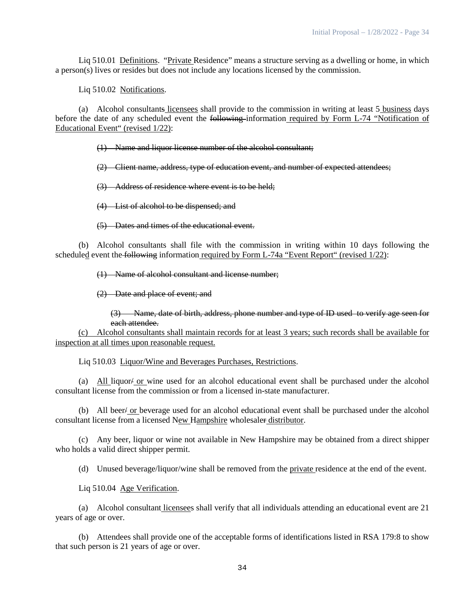Liq 510.01 Definitions. "Private Residence" means a structure serving as a dwelling or home, in which a person(s) lives or resides but does not include any locations licensed by the commission.

Liq 510.02 Notifications.

(a) Alcohol consultants licensees shall provide to the commission in writing at least 5 business days before the date of any scheduled event the following information required by Form L-74 "Notification of Educational Event" (revised 1/22):

(1) Name and liquor license number of the alcohol consultant;

(2) Client name, address, type of education event, and number of expected attendees;

(3) Address of residence where event is to be held;

(4) List of alcohol to be dispensed; and

(5) Dates and times of the educational event.

(b) Alcohol consultants shall file with the commission in writing within 10 days following the scheduled event the following information required by Form L-74a "Event Report" (revised  $1/22$ ):

(1) Name of alcohol consultant and license number;

(2) Date and place of event; and

(3) Name, date of birth, address, phone number and type of ID used to verify age seen for each attendee.

(c) Alcohol consultants shall maintain records for at least 3 years; such records shall be available for inspection at all times upon reasonable request.

Liq 510.03 Liquor/Wine and Beverages Purchases, Restrictions.

(a) All liquor or wine used for an alcohol educational event shall be purchased under the alcohol consultant license from the commission or from a licensed in-state manufacturer.

(b) All beer/ or beverage used for an alcohol educational event shall be purchased under the alcohol consultant license from a licensed New Hampshire wholesaler distributor.

(c) Any beer, liquor or wine not available in New Hampshire may be obtained from a direct shipper who holds a valid direct shipper permit.

(d) Unused beverage/liquor/wine shall be removed from the private residence at the end of the event.

Liq 510.04 Age Verification.

(a) Alcohol consultant licensees shall verify that all individuals attending an educational event are 21 years of age or over.

(b) Attendees shall provide one of the acceptable forms of identifications listed in RSA 179:8 to show that such person is 21 years of age or over.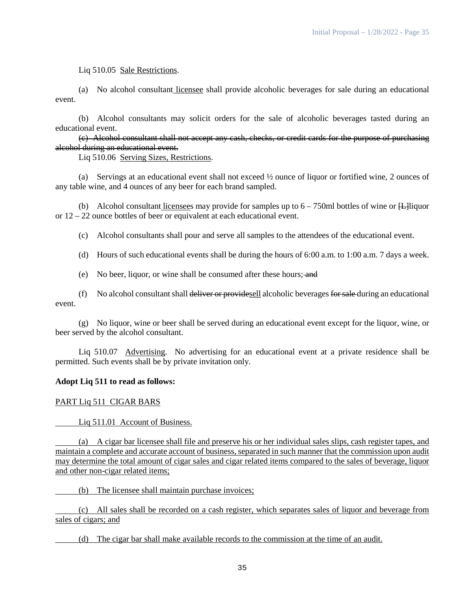Liq 510.05 Sale Restrictions.

(a) No alcohol consultant licensee shall provide alcoholic beverages for sale during an educational event.

(b) Alcohol consultants may solicit orders for the sale of alcoholic beverages tasted during an educational event.

(c) Alcohol consultant shall not accept any cash, checks, or credit cards for the purpose of purchasing alcohol during an educational event.

Liq 510.06 Serving Sizes, Restrictions.

(a) Servings at an educational event shall not exceed ½ ounce of liquor or fortified wine, 2 ounces of any table wine, and 4 ounces of any beer for each brand sampled.

(b) Alcohol consultant licensees may provide for samples up to  $6 - 750$ ml bottles of wine or  $\ddot{\text{H}}$ liquor or 12 – 22 ounce bottles of beer or equivalent at each educational event.

(c) Alcohol consultants shall pour and serve all samples to the attendees of the educational event.

(d) Hours of such educational events shall be during the hours of 6:00 a.m. to 1:00 a.m. 7 days a week.

(e) No beer, liquor, or wine shall be consumed after these hours; and

(f) No alcohol consultant shall deliver or providesell alcoholic beverages for sale during an educational event.

(g) No liquor, wine or beer shall be served during an educational event except for the liquor, wine, or beer served by the alcohol consultant.

Liq 510.07 Advertising. No advertising for an educational event at a private residence shall be permitted. Such events shall be by private invitation only.

# **Adopt Liq 511 to read as follows:**

PART Liq 511 CIGAR BARS

Liq 511.01 Account of Business.

(a) A cigar bar licensee shall file and preserve his or her individual sales slips, cash register tapes, and maintain a complete and accurate account of business, separated in such manner that the commission upon audit may determine the total amount of cigar sales and cigar related items compared to the sales of beverage, liquor and other non-cigar related items;

(b) The licensee shall maintain purchase invoices;

(c) All sales shall be recorded on a cash register, which separates sales of liquor and beverage from sales of cigars; and

(d) The cigar bar shall make available records to the commission at the time of an audit.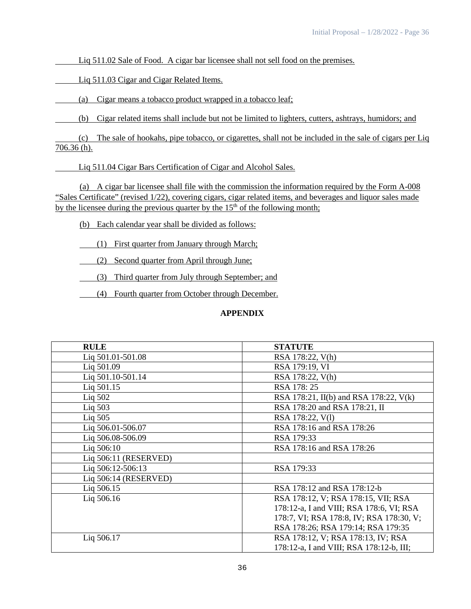Liq 511.02 Sale of Food. A cigar bar licensee shall not sell food on the premises.

Liq 511.03 Cigar and Cigar Related Items.

(a) Cigar means a tobacco product wrapped in a tobacco leaf;

(b) Cigar related items shall include but not be limited to lighters, cutters, ashtrays, humidors; and

(c) The sale of hookahs, pipe tobacco, or cigarettes, shall not be included in the sale of cigars per Liq 706.36 (h).

Liq 511.04 Cigar Bars Certification of Cigar and Alcohol Sales.

(a) A cigar bar licensee shall file with the commission the information required by the Form A-008 "Sales Certificate" (revised 1/22), covering cigars, cigar related items, and beverages and liquor sales made by the licensee during the previous quarter by the  $15<sup>th</sup>$  of the following month;

(b) Each calendar year shall be divided as follows:

(1) First quarter from January through March;

(2) Second quarter from April through June;

(3) Third quarter from July through September; and

(4) Fourth quarter from October through December.

## **APPENDIX**

| <b>RULE</b>           | <b>STATUTE</b>                           |
|-----------------------|------------------------------------------|
| Liq 501.01-501.08     | RSA 178:22, V(h)                         |
| Liq 501.09            | RSA 179:19, VI                           |
| Liq 501.10-501.14     | RSA 178:22, V(h)                         |
| Liq 501.15            | RSA 178:25                               |
| Liq 502               | RSA 178:21, II(b) and RSA 178:22, V(k)   |
| Liq $503$             | RSA 178:20 and RSA 178:21, II            |
| Liq $505$             | RSA 178:22, V(1)                         |
| Liq 506.01-506.07     | RSA 178:16 and RSA 178:26                |
| Liq 506.08-506.09     | RSA 179:33                               |
| Lig 506:10            | RSA 178:16 and RSA 178:26                |
| Liq 506:11 (RESERVED) |                                          |
| Lig 506:12-506:13     | RSA 179:33                               |
| Liq 506:14 (RESERVED) |                                          |
| Liq 506.15            | RSA 178:12 and RSA 178:12-b              |
| Liq 506.16            | RSA 178:12, V; RSA 178:15, VII; RSA      |
|                       | 178:12-a, I and VIII; RSA 178:6, VI; RSA |
|                       | 178:7, VI; RSA 178:8, IV; RSA 178:30, V; |
|                       | RSA 178:26; RSA 179:14; RSA 179:35       |
| Liq 506.17            | RSA 178:12, V; RSA 178:13, IV; RSA       |
|                       | 178:12-a, I and VIII; RSA 178:12-b, III; |